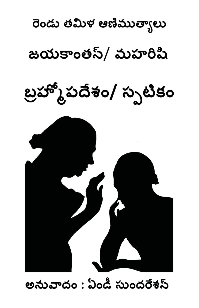

## అనువాదం : ఏండీ సుందరేశస్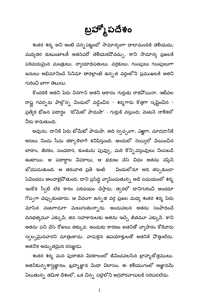బ్రహ్మోపదేశం

శంకర శర్మ అని అంటే చెన్నపట్లంలో సామాన్యంగా చాలామందికి తెలియదు; మధ్యతర కుటుంబాలకీ అతసెవరో తెలియకపోవచ్చు. కాని సామాన్య ప్రజలకి పరిచయమైన మంత్రులు, న్యాయాధిపతులు, వర్తకులు, గుంపులు గుంపులుగా జనులు అభిమానించే సినిమా తారల్లాంటి ఉన్నత వర్గంలోని ప్రముఖలకి అతని గురించి బాగా తెలుసు.

కొందరికి అతని పేరు వినగాసే అతని ఆకారం గుర్తుకు రాకపోయినా, ఇటీవల రాష్ట్ర గవర్నరు పాల్గొన్న విందులో వడ్డించిన - శర్మగారు కొత్తగా సృష్టించిన -ప్రత్యేక భోజన పదార్గం 'టోమేటో పాదుషా' - గుర్తుకి వస్తుంది; పెంటసే నాలికలో నీరు కారుతుంది.

అవును. దానికి పేరు టోమేటో పాదుషా. అది స్వచ్చంగా, ఎఱ్ఱగా, చూడడానికి అసలు నిండు సీమ తక్కాళిలాగే కనిపిస్తుంది. అందులో నెయ్యిలో పేయించిన బాదాం, జీరకం, పంచదార, కుంకుమ పువ్వు, మరి కొన్నివస్తువులు నింపబడి ఉంటాయి. ఆ పదార్ధాల వివరాలు, ఆ భక్షణం చేసే విధం అతను చెప్తేసే బోధపడుతుంది. ఆ తరువాత ప్రతీ ఇంటి విందులోనూ అది తప్పకుండా సేవించడం అలవాటైవోతుంది. దాని ప్రసిద్ధి వ్యాపించుతున్న అదే సమయంలో శర్మ ఇంకొక స్వీట్ లేక కారం పరిచయం చేస్తారు; త్వరలో దానిగురించి అందరూ గొప్పగా చెప్పుకుంటారు. ఆ విధంగా ఉన్నత వర్గ ప్రజల మధ్య శంకర శర్మ పేరు మోసిన వంటగాడుగా మెలుగుతున్నారు. అందువలన అతను సంపాదించే దినభత్యమూ ఎక్కుపే; తన సహకారులకు అతను ఇచ్చే జీతమూ ఎక్కుపే. కాని అతను పని చేసే రోజులు తక్కువ. అందుకు కారణం అతనితో వ్యాపారం కోరేవారు స్వల్పమైనవారని మాత్రంకాదు. వాడుకైన ఉపయోక్తులతో అతనికి వొత్తులేదు. అతనొక అద్భుతమైన రసజ్ఞుడు.

శంకర శర్మ మన పురాతన పేదకాలంలో జీవించవలసిన బ్రాహ్మణోత్తములు. అతనికున్నశాస్త్రజ్ఞానం, బ్రహ్మజ్ఞాన మేధా విలాసం, ఈ కలియుగంలో ఆజ్ఞానమే ఏలుతున్న తమిళ దేశంలో, ఒక చిన్న పల్లెలోని అగ్రహారవాసులకి సరిపడలేదు.

 $\mathbf{1}$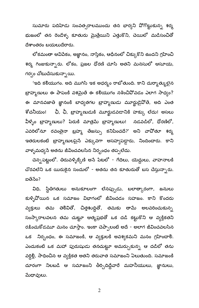సుమారు పదిహేడు సంవత్సరాలముందు తన భార్యని వోగొట్టుకున్న శర్మ భుజంలో తన రెండేళ్ళ కూతురు మైత్రేయిని ఎత్తుకొని, చెయిలో మడిసంచితో ದೆశాంతరం బయలుదేరారు.

లోకమంతా ఆవిపేకం, అజ్ఞానం, నాస్తికం, ఆధీనంలో చిక్కుకొని ఉందని గ్రహించి శర్మ గింజుకున్నారు. లోకం, ప్రజల ధోరణి చూసి అతని మనసులో ఆసూయ, గర్వం చోటుచేసుకున్నాయి.

'ఇది కలియుగం. అది ముగిసి ఇక అధర్మం రాబోతుంది. కాని దుర్మాత్ములైన బ్రాహ్మణులు ఈ పాపంకి వశమైతే ఈ కలియుగం నశించిపోవడం ఎలాగ సాధ్యం? ఈ మానవజాతి జ్ఞానంకి బాధ్యతగల బ్రాహ్మణుడు మూర్ఖుడైవోతే, అది ఎంత శోచనీయం! పే, ఛీ, బ్రాహ్మణుడుకి మూర్ఖుడవడానికి హక్కు లేదు! అసలు వీళ్ళం బ్రాహ్మణులు? పేరుకి మాత్రమే బ్రాహ్మణులు! నడవడిలో, ధోరణిలో, ఎవరిలోనూ రవంతైనా బ్రహ్మ తేజస్సు కనిపించదే?' అని వావోతూ <del>శ</del>ర్మ ఇతరులకంటే బ్రాహ్మణులపైసే ఎక్కువగా అసహ్యపడ్డారు, నిందించారు. కాని వాళ్ళమధ్యసే అతను జీవించవలసిన నిర్బంధం తప్పలేదు.

చెన్నపట్ణంలో. తిరువళ్ళిక్కేణి అసే పేటలో - గేదెలు, యెద్దులు, వాహనాలకి చొరవలేని ఒక యిరుకైన సందులో - అతను తన కూతురుతో బస చేస్తున్నారు. ఐతేనేం?

విధి, స్థితిగతులు అనుకూలంగా లేనప్పుడు, బలాత్కారంగా, జనులు కుళ్ళివోయిన ఒక సమాజం విభాగంలో జీవించడం సహజం. కాని కొందరు వ్యక్తులు తమ తెలివితో, చిత్తశుద్ధితో, తమకు తామే అలవరించుకున్న సంస్కారాలవలన తమ చుట్టూ ఆత్మప్రభతో ఒక దడి కట్టుకొని ఆ వ్యక్తికతని రక్షించుకోడమూ మనం చూస్తాం. ఇంకా చెప్పాలంటే అదే - అలాగ జీవించవలసిన ఒక నిర్బంధం, ఈ సమాజంకి, ఆ వ్యక్తులకి అవశ్వకమని మనం గ్రహించాలి. ఎందుకంటే ఒక మహా పురుషుడు తనచుట్టూ అమర్చుకున్న ఆ దడిలో తను వర్గిళ్లి, సాధించిన ఆ వ్యక్తికత అతని తరువాత సమాజంని ఏలుతుంది. సమాజంకి దూరంగా నిలబడి ఆ సమాజంని తీర్చిదిద్దేవారే మహనీయులు, జ్ఞానులు, పుధావులు.

 $\overline{2}$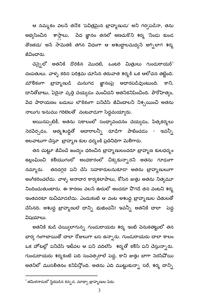ఆ నమ్మకం వలసే తనొక 'పవిత్రమైన బ్రాహ్మణుడు' అని గర్వపడినా, తను అభ్యసించిన శాస్తాలు, పేద జ్ఞానం తనలో అణచుకొని <del>శ</del>ర్మ 'నిండు కుండ తొణకదు' అసే సామెతకి తగిన విధంగా ఆ అశుద్ధాలమధ్యసే అగ్నిలాగ శర్మ జీవించారు.

చెన్నైలో అతనికి దొరికిన మొదటి, ఒంటరి మిత్రులు గుండురాయర్<sup>1</sup> దంపతులు. వాళ్ళ కఠిన పరిశ్రమ చూసిన తరువాత శర్మకి ఒక ఆలోచన తట్టింది. మౌలికంగా బ్రాహ్మణుడి మనుగడ జ్ఞానంపై ఆధారపడివుంటుంది. కాని, దానితోబాటు, ఏదైనా వృత్తి చెయ్యడం మంచిదని అతనికనిపించింది. పౌరోహిత్యం, పేద పారాయణం బదులు లౌకికంగా పనిచేసి జీవించాలని నిశ్చయించి అతను నాలుగు ఇనుము గరిటెలతో పంటవాడుగా సిద్ధమయ్యారు.

అయినప్పటికీ, అతను సకాలంలో సంధ్యావందనం చెయ్యడం, పిత్<mark>ఖ</mark>కర్మలు సెరపేర్చడం, ఆత్మశుద్ధితో ఆచారాలన్నీ రూడిగా పాటించడం - ఇవన్నీ అలవాటుగా చేస్తూ ట్రాహ్మణ కుల ధర్మంకి ప్రతినిధిగా మెలిగారు.

తన చుట్టూ జీవించే జంద్యం ధరించిన బ్రాహ్మణులందరూ బ్రాహ్మణ కులధర్మం ఉల్లంఘించి కలియుగంలో అంధకారంలో చిక్కకున్నారని అతను గూఢంగా నమ్మారు. తనదగ్గర పని చేసే సహకారులనుకూడా అతను బ్రాహ్మణులుగా అంగీకరించలేదు. వాళ్ళ అనాదార కార్యకలాపాలు, కోసిన జుత్తు అతను నిత్యమూ <u>నిందించుతుంటారు. ఈ కారణం వలసే ఊరులో అందరూ పొగడే తన వంటని శర్మ</u> ఇంతవరకూ రుచిచూడలేదు. ఎందుకంటే ఆ వంట అశుద్ధ బ్రాహ్మణుల చేతులతో చేసినది. అశుద్ధ బ్రాహ్మణులే దాన్ని భుజించనీ! ఇవన్నీ అతనికి చాలా <mark>పె</mark>ద్ద విషయాలు.

అతనికి కుడి చెయ్యిలాగున్న గుండురాయరు శర్మ ఇంటి వెనుకతట్టులో తన భార్య గంగాబాయితో చాలా రోజులుగా బస ఉన్నారు. గుండురాయరు చాలా కాలం ఒక హోటల్లో పనిచేసి ఇటీవల ఆ పని వదిలేసి శర్మతో కలిసి పని చేస్తున్నారు. గుండురాయరు శర్మకంటే పది సంవత్సరాలే పెద్ద, కాని జుత్తు బాగా సెరసిపోయి అతనిలో ముసలితనం కనిపిస్తోంది. అతను ఎది ముట్టుకున్నా సరే, శర్మ దాన్ని

 $^{\rm 1}$ తమిళనాడులో స్థిరపడిన కన్నడ, మాధ్వా బ్రాహ్మణుల పేరు.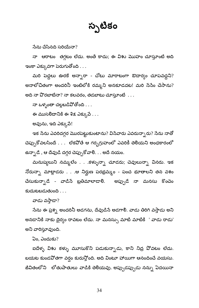## స్సటికం

సేను చేసినది సరియేనా?

నా ఆరాటం తగ్గటం లేదు. అంతే కాదు; ఈ విశు మొహం చూస్తూంటే అది ఇంకా ఎక్కువగా పెరుగుతోంది  $\dots$ 

మరి పెద్దలు ఊరకే అన్సారా - చోటు మారాటంగా ఔదార్యం చూపవద్దని? అనాలోచితంగా అందరినీ ఇంటిలోకి రమ్మని అనకూడదట! మరి సేసేం చేసాను? అది నా పొరబాటేనా? నా కలవరం, తడబాటు చూస్తూంటే . . .

నా ఒళ్ళంతా చల్లబడిపోతోంది . . .

ఈ ముసలిదానికి ఈ శిక్ష ఎక్కుపే  $\dots$ 

అవును, ఇది ఎక్కుపే!

ఇక సేను ఎవరిదగ్గర మొరపెట్టుకుంటాను? విసేవారు ఎవరున్నారు? సేను నాతో చెప్పుకోవలసిందే . . . లేకపోతే ఆ గర్భగ్రుహంలో ఎవరికీ తెలియని అంధకారంలో ఉన్నాడే , ఆ దేవుడి దగ్గర చెప్పుకోవాలి. . . అదే నయం.

మనుష్వలుని నమ్మలేం . . .కళ్ళున్నా చూడరు; చెవులున్నా వినరు. ఇక నోరున్సా మాట్లాడరు . . .ఆ నిర్ఘుణ పరభ్రమ్మం - పంచ భూతాలని తన వశం చేసుకున్నాడే - వాడిసే ట్రతిమాలాడా<mark>లి. అప్పుడే నా మనసు క</mark>ొంచెం  $\omega$  substand  $\Omega$  ...

వాడు వస్తాడా?

సేను ఈ ప్రశ్న అందరినీ అడగను, దేవుడిసే అడగాలి. వాడు తిరిగి వస్తాడు అని అనడానికి నాకు దైర్యం రావటం లేదు. నా మనస్సు మాటి మాటికి ' వాడు రాడు' అని వారిస్తూవుంది.

ఏం. ఎందుకు $?$ 

ఐదేళ్ళ విశు కళ్ళు మూసుకొని పడుకున్నాడు, కాని నిద్ర పోవటం లేదు. బయట కుండపోతగా వర్షం కురుస్తోంది. అది వింటూ హాయిగా ఆనందించే వయసు. జీవితంలోని లోతుపాతులు వాడికి తెలియవు. అప్పుడప్పుడు నన్ను ఏదయినా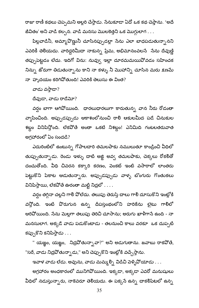రాజు రాణీ కథలు చెప్పమని అల్లరి చేస్తాడు. సేనుకూడా ఏదో ఒక కథ చెప్తాను. 'అదే జీవితం' అని వాడి కల్పన. వాడి మనసు మొలకెత్తని ఒక మొగ్గులాగ . . .

పిల్లవాడినీ, అమ్మావొణ్ణునీ చూసినప్పుడల్లా సేను ఎలా బాధపడుతున్నానని ఎవరికీ తెలియదు. వారిద్దరిమీదా నాకున్న ప్రేమ, అభిమానంవలసే సేను దేవుణ్ణి తప్పుపెట్టడం లేదు. ఇదిగో విను: నువ్వు ఇల్లా దూరమమయివోవడం సహించక నిన్ను జోరుగా తిడుతున్నాను కాని నా కళ్ళు నీ మొహాన్ని చూసిన మరు క్షణమే నా $\sim$ హృదయం కరిగివోతుంది! ఎవరికి తెలుసు ఈ వింత $?$ 

వాడు వస్తాడా?

దేవుడా, వాడు రాడేమో?

వర్షం బాగా ఆగివోయింది. ధారలుధారలుగా కారుతున్న వాన నీరు రోడంతా వ్యాపించింది. అప్పుడప్పుడు ఆకాశంలోనుంచి రాలి ఆకులమీద పడే చినుకుల శబ్దం వినిపిస్తోంది. లేకవోతే అంతా ఒకటే నిశబ్దం! ఎనిమిది గంటలతరువాత అగ్రహారంలో ఏం సందడి?

ఎదురింటిలో ఉంటున్న గోపాలదారి తమలపాకు నములుతూ కాండ్రించి వీధిలో తుప్పుతున్నాడు. రెండు ఇళ్ళు దాటి అఙ్ఞి అవ్వ తమలపాకు, చెక్కలు రోకలితో దంచుతోంది. వీధి చివరన కక్కారి కరణం, పెంకట్ ఇంటి వసారాలో లాంతరు పెట్టుకొని పేకాట ఆడుతున్నారు. అప్పుడప్పుడు వాళ్ళ బొంగురు గొంతుకలు వినిపిస్తాయి, లేకపోతే ఊరంతా మట్టి నిద్రలో . . . .

వర్షం తగ్గినా చల్లని గాలి పోలేదు. తలుపు తెరుస్తే చాలు గాలి దూసుకొని ఇంట్లోకి వన్తోంది. ఇంటి పొరుగున ఉన్న దీపస్తంభంలోని హరికేను లైటు గాలిలో ఆరివోయింది. సేను మెల్లగా తలుపు తెరిచి చూసాను; అరుగు ఖాళీగాసే ఉంది - నా మనసులాగ. అక్కడే వాడు పడుకొంటాడు - తలనుంచి కాలు వరకూ ఒక దుప్పటి కప్పుకొని కనిపిస్తాడు  $\dots$ 

" యజ్ఞం, యజ్ఞం, నిద్రవోతున్నావా?" అని అడుగుతాను. జవాబు రాకవోతే, "సరే, వాడు నిద్రవోతున్నాడు," అని చెప్పుకొని ఇంట్లోకి వచ్చేస్తాను.

ఇవాళ వాడు లేడు. అవును, వాడు మమ్మ ల్సి విడిచి పెళ్ళిపోయాడు . . .

అగ్రహారం అంధకారంలో మునిగిపోయింది. ఇక్కడా, అక్కడా ఎవరో మనుషులు వీధిలో నడుస్తున్నారు, నాకెవరూ తెలియదు. ఈ పక్కసే ఉన్న చాకలిపేటలో ఉన్న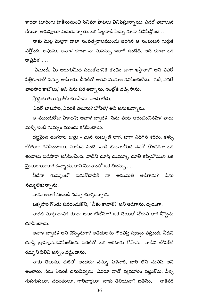శారదా టూరింగు టాకీసునుంచి సినిమా పాటలు వినిపిస్తున్నాయి. ఎవరో తటాలున కేకలూ, అరుపులూ పెడుతున్నారు. ఒక పిల్లవాడి ఏడ్పు కూడా వినిపిస్తోంది . .

నాకు మెల్ల మెల్లగా చాలా సంవత్సరాలముందు జరిగిన ఆ సంఘటన గుర్తుకి వన్తోంది. అవును, అవాళ కూడా నా మనస్సు ఇలాగే ఉండేది. అది కూడా ఒక రాత్రిపేళ . . .

"ఏమండీ, మీ అరుగుమీద పడుకోడానికి కొంచెం జాగా ఇస్తారా?" అని ఎవరో పిల్లికూతలో నన్ను అడిగారు. చీకటిలో అతని మొహం కనిపించలేదు. 'సరే, ఎవరో బాటసారి కాబోలు,' అని సేను సరే అన్నాను, ఇంట్లోకి వచ్చేసాను.

ప్రొద్దుట తలుపు తీసి చూసాను. వాడు లేడు,

'ఎవరో బాటసారి, ఎవరికి తెలుసు? పోనీలే,' అని అనుకున్నాను.

ఆ ముందురోజు ఏకాదశి; అవాళ దాఁదశి. సేను వంట ఆరంభించినపేళ వాడు మళ్ళీ ఇంటి గుమ్మం ముందు కనిపించాడు.

దట్టమైన ఉంగరాల జుత్తు - మన సుబ్బుణి లాగ. బాగా ఎదిగిన శరీరం. కళ్ళు లోతుగా కనిపించాయి. మాసిన పంచె. వాడి భుజాలమీద ఎవరో తొందరగా ఒక తువాలు పడేసారా అనిపించింది. వాడిని చూస్తే దుమ్మూ, ధూలి కప్పివోయిన ఒక మైలురాయిలాగ ఉన్నాడు. కాని మొహంలో ఒక తేజస్సు . . .

వీడేనా గుమ్మంలో పడుకోడానికి నా అనుమతి అడిగాడు? సేను నమ్మలేకున్నాను.

వాడు అలాగే నిలబడి నన్ను చూస్తున్నాడు.

ఒక్కసారి గొంతు సవరించుకొని, ' నీకేం కావాలి?' అని అడిగాను, ధృఢంగా.

వాడికి మాట్లాడానికి కూడా బలం లేదోమో? ఒక చెయితో నోరుని తాకి వొట్టను చూపించాడు.

అవాళ దాఁదశి అని చెప్పేనుగా? అతిథులను గౌరవిస్తే పుణ్యం వస్తుంది. వీడిని చూస్తే బ్రాహ్మ నుడనిపించింది. పెరటిలో ఒక అరటాకు కోసాను. వాడిని లోపలికి రమ్మ ని పిలిచి అన్నం వడ్డించాను.

నాకు తెలుసు, ఊరిలో అందరూ నన్ను పిశినారి, జాలి లేని మనిషి అని అంటారు. సేను ఎవరికీ చనువివ్వను. ఎవరూ నాతో వ్వవహారం పెట్టుకోరు. వీళ్ళ గుసగుసలూ, వదంతులూ, గారివార్తలూ, నాకు తెలియవా? ఐతేసేం, నాకెవరి